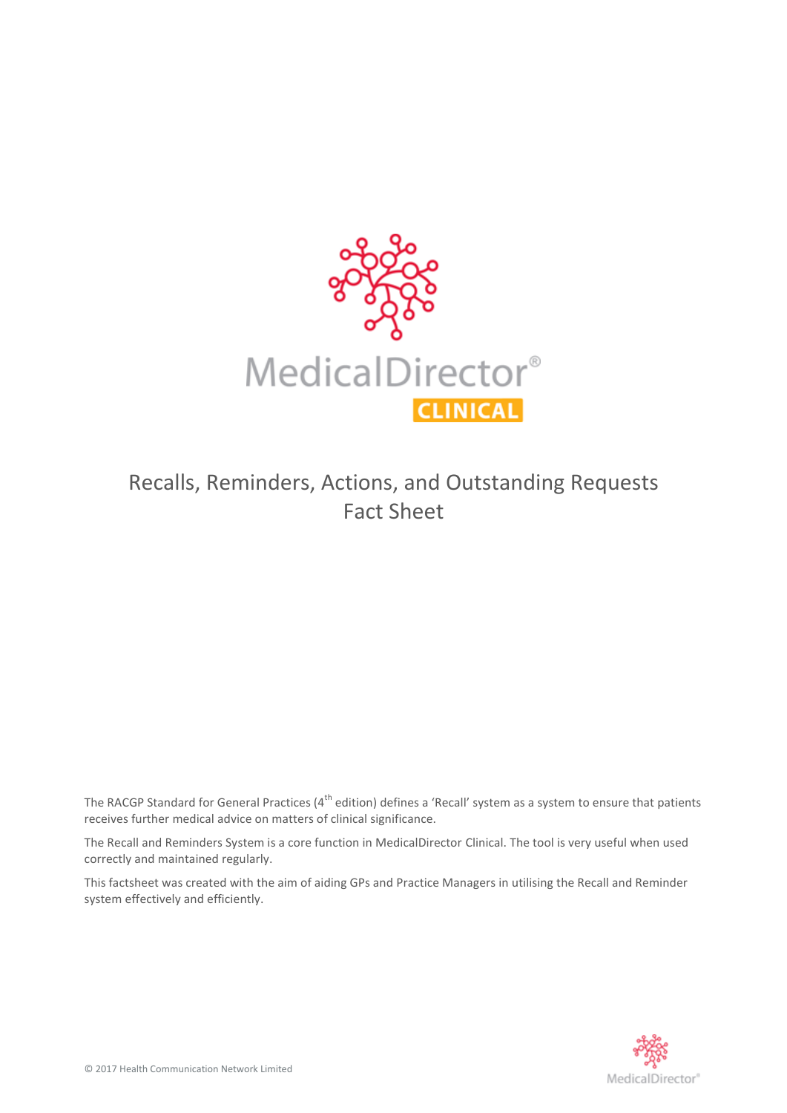

# Recalls, Reminders, Actions, and Outstanding Requests Fact Sheet

The RACGP Standard for General Practices ( $4^{th}$  edition) defines a 'Recall' system as a system to ensure that patients receives further medical advice on matters of clinical significance.

The Recall and Reminders System is a core function in MedicalDirector Clinical. The tool is very useful when used correctly and maintained regularly.

This factsheet was created with the aim of aiding GPs and Practice Managers in utilising the Recall and Reminder system effectively and efficiently.

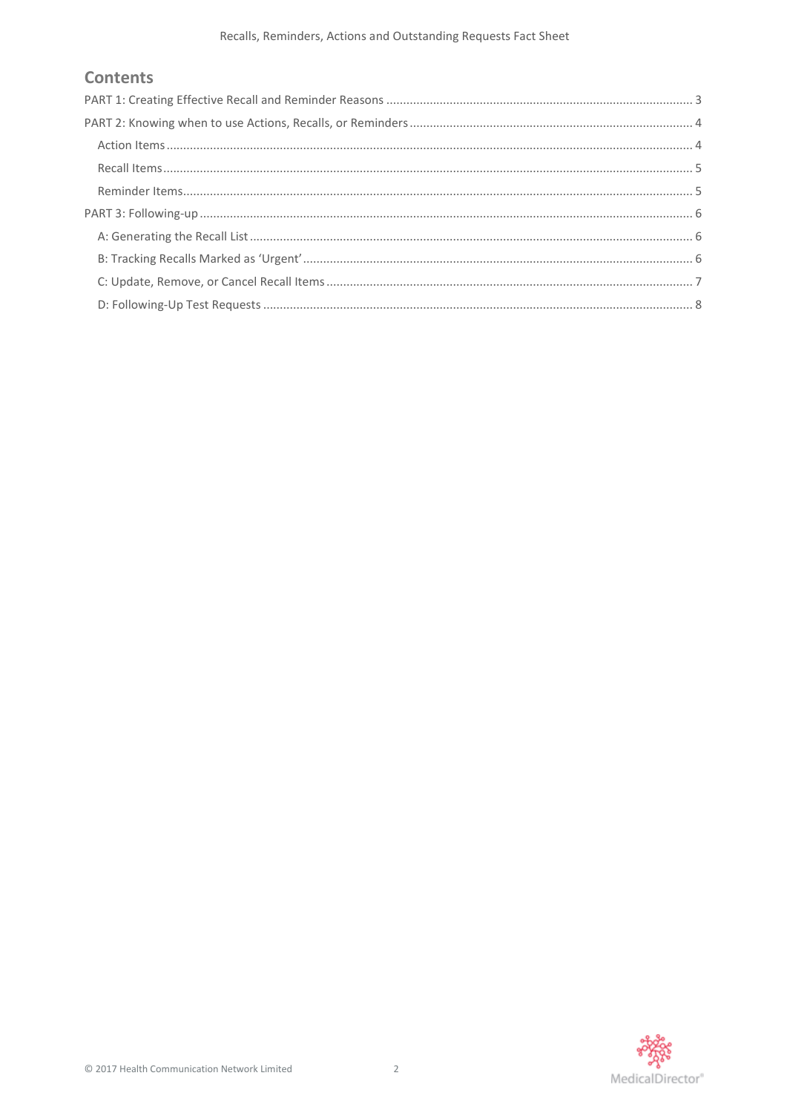# **Contents**

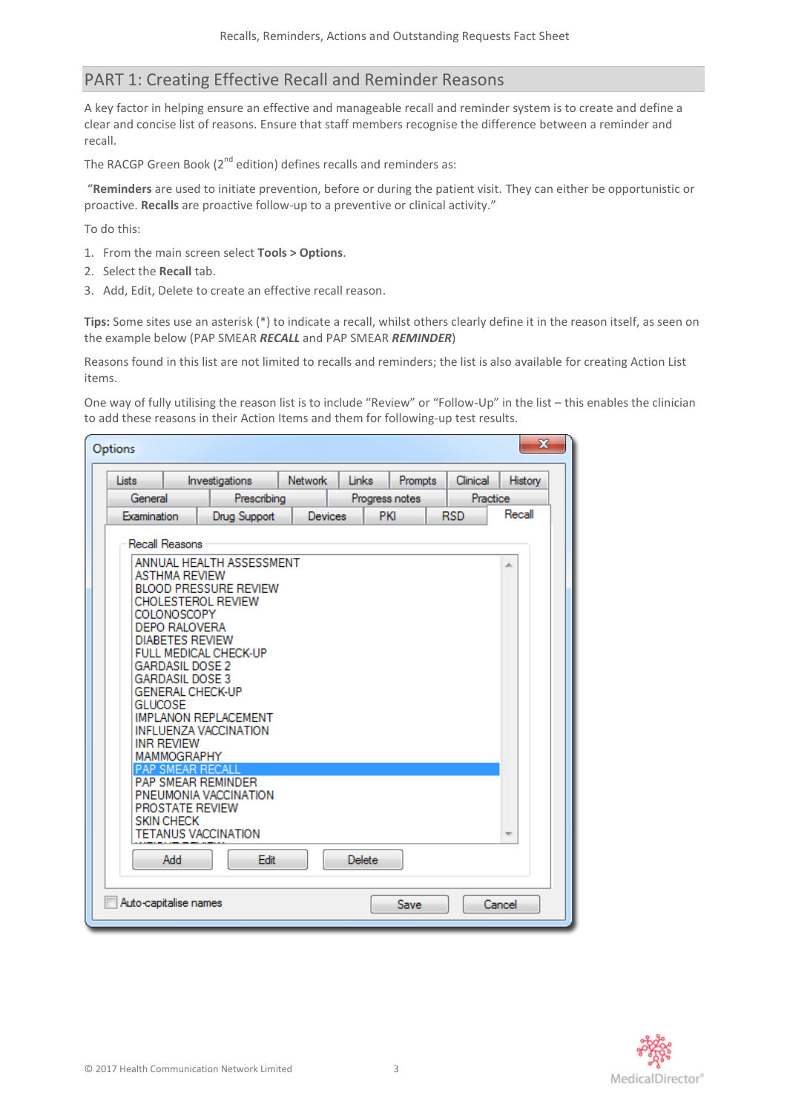# <span id="page-2-0"></span>PART 1: Creating Effective Recall and Reminder Reasons

A key factor in helping ensure an effective and manageable recall and reminder system is to create and define a clear and concise list of reasons. Ensure that staff members recognise the difference between a reminder and recall.

The RACGP Green Book  $(2^{nd}$  edition) defines recalls and reminders as:

"**Reminders** are used to initiate prevention, before or during the patient visit. They can either be opportunistic or proactive. **Recalls** are proactive follow-up to a preventive or clinical activity."

To do this:

- 1. From the main screen select **Tools > Options**.
- 2. Select the **Recall** tab.
- 3. Add, Edit, Delete to create an effective recall reason.

**Tips:** Some sites use an asterisk (\*) to indicate a recall, whilst others clearly define it in the reason itself, as seen on the example below (PAP SMEAR *RECALL* and PAP SMEAR *REMINDER*)

Reasons found in this list are not limited to recalls and reminders; the list is also available for creating Action List items.

One way of fully utilising the reason list is to include "Review" or "Follow-Up" in the list – this enables the clinician to add these reasons in their Action Items and them for following-up test results.

| Options                                                                                                                                                                                                                                                                                                                                                                                                                                                                                     |                                                        |             |  |       |  |                |  |          | $\mathbf{x}$ |  |
|---------------------------------------------------------------------------------------------------------------------------------------------------------------------------------------------------------------------------------------------------------------------------------------------------------------------------------------------------------------------------------------------------------------------------------------------------------------------------------------------|--------------------------------------------------------|-------------|--|-------|--|----------------|--|----------|--------------|--|
| Lists                                                                                                                                                                                                                                                                                                                                                                                                                                                                                       | <b>Network</b><br>Investigations                       |             |  | Links |  | Prompts        |  | Clinical | History      |  |
| General                                                                                                                                                                                                                                                                                                                                                                                                                                                                                     |                                                        | Prescribing |  |       |  | Progress notes |  | Practice |              |  |
|                                                                                                                                                                                                                                                                                                                                                                                                                                                                                             | Recall<br>PKI<br><b>RSD</b><br>Drug Support<br>Devices |             |  |       |  |                |  |          |              |  |
| Examination<br>Recall Reasons<br>ANNUAL HEALTH ASSESSMENT<br>∸<br>ASTHMA REVIEW<br><b>BLOOD PRESSURE REVIEW</b><br><b>CHOLESTEROL REVIEW</b><br>COLONOSCOPY<br>DEPO RALOVERA<br><b>DIABETES REVIEW</b><br>FULL MEDICAL CHECK-UP<br><b>GARDASIL DOSE 2</b><br><b>GARDASIL DOSE 3</b><br><b>GENERAL CHECK-UP</b><br><b>GLUCOSE</b><br><b>IMPLANON REPLACEMENT</b><br><b>INFLUENZA VACCINATION</b><br><b>INR REVIEW</b><br>MAMMOGRAPHY<br><b>PAP SMEAR RECALL</b><br><b>PAP SMEAR REMINDER</b> |                                                        |             |  |       |  |                |  |          |              |  |
| <b>PROSTATE REVIEW</b><br><b>SKIN CHECK</b><br><b>TETANUS VACCINATION</b><br>$\overline{\phantom{a}}$                                                                                                                                                                                                                                                                                                                                                                                       |                                                        |             |  |       |  |                |  |          |              |  |
| Edit<br>Add<br>Delete                                                                                                                                                                                                                                                                                                                                                                                                                                                                       |                                                        |             |  |       |  |                |  |          |              |  |
| Auto-capitalise names                                                                                                                                                                                                                                                                                                                                                                                                                                                                       |                                                        |             |  |       |  | Save           |  |          | Cancel       |  |

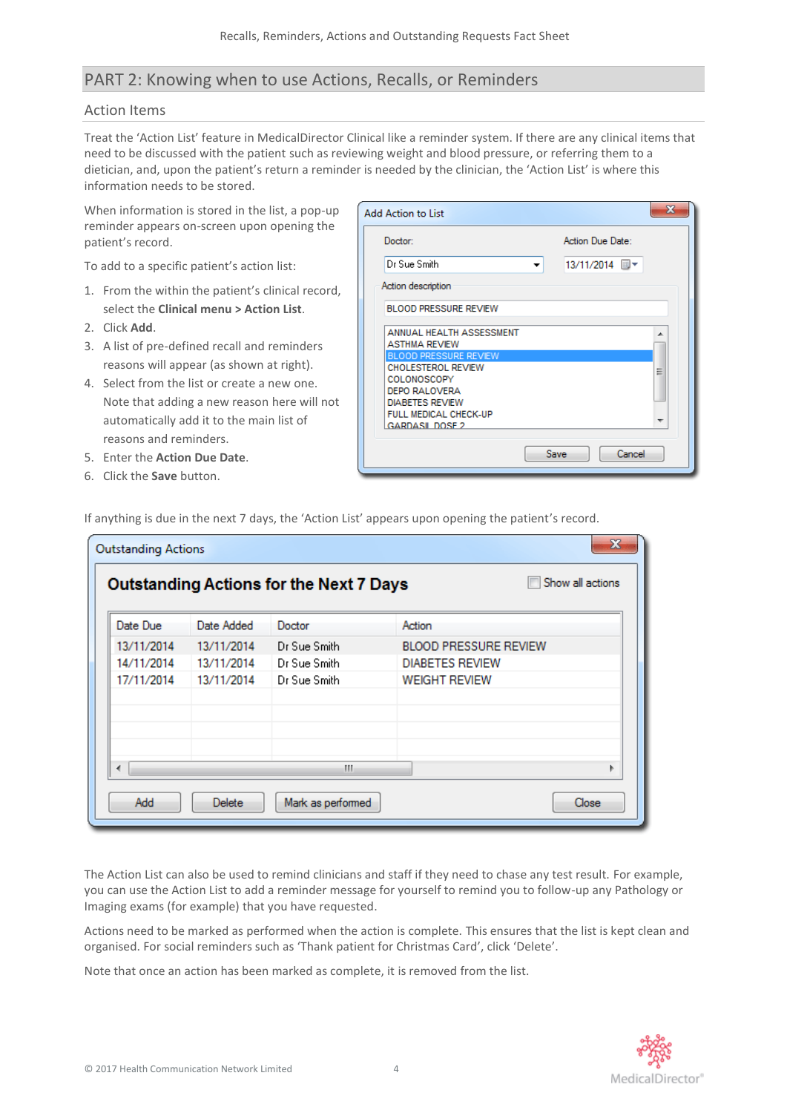# <span id="page-3-0"></span>PART 2: Knowing when to use Actions, Recalls, or Reminders

## <span id="page-3-1"></span>Action Items

Treat the 'Action List' feature in MedicalDirector Clinical like a reminder system. If there are any clinical items that need to be discussed with the patient such as reviewing weight and blood pressure, or referring them to a dietician, and, upon the patient's return a reminder is needed by the clinician, the 'Action List' is where this information needs to be stored.

When information is stored in the list, a pop-up reminder appears on-screen upon opening the patient's record.

To add to a specific patient's action list:

- 1. From the within the patient's clinical record, select the **Clinical menu > Action List**.
- 2. Click **Add**.
- 3. A list of pre-defined recall and reminders reasons will appear (as shown at right).
- 4. Select from the list or create a new one. Note that adding a new reason here will not automatically add it to the main list of reasons and reminders.
- 5. Enter the **Action Due Date**.
- 6. Click the **Save** button.

| <b>Add Action to List</b>                                 |      |                  |        |   |
|-----------------------------------------------------------|------|------------------|--------|---|
| Doctor:                                                   |      | Action Due Date: |        |   |
| Dr Sue Smith                                              |      | 13/11/2014 画▼    |        |   |
| Action description                                        |      |                  |        |   |
| <b>BLOOD PRESSURE REVIEW</b>                              |      |                  |        |   |
| ANNUAL HEALTH ASSESSMENT<br><b>ASTHMA REVIEW</b>          |      |                  |        |   |
| <b>BLOOD PRESSURE REVIEW</b><br><b>CHOLESTEROL REVIEW</b> |      |                  |        |   |
| <b>COLONOSCOPY</b><br><b>DEPO RALOVERA</b>                |      |                  |        | Ξ |
| <b>DIABETES REVIEW</b>                                    |      |                  |        |   |
| FULL MEDICAL CHECK-UP<br><b>GARDASIL DOSE 2</b>           |      |                  |        |   |
|                                                           |      |                  |        |   |
|                                                           | Save |                  | Cancel |   |

If anything is due in the next 7 days, the 'Action List' appears upon opening the patient's record.

| x<br><b>Outstanding Actions</b>                                    |            |              |                              |  |  |  |
|--------------------------------------------------------------------|------------|--------------|------------------------------|--|--|--|
| Show all actions<br><b>Outstanding Actions for the Next 7 Days</b> |            |              |                              |  |  |  |
| Date Due                                                           | Date Added | Doctor       | Action                       |  |  |  |
| 13/11/2014                                                         | 13/11/2014 | Dr Sue Smith | <b>BLOOD PRESSURE REVIEW</b> |  |  |  |
| 14/11/2014                                                         | 13/11/2014 | Dr Sue Smith | <b>DIABETES REVIEW</b>       |  |  |  |
| 17/11/2014                                                         | 13/11/2014 | Dr Sue Smith | <b>WEIGHT REVIEW</b>         |  |  |  |
|                                                                    |            | m            |                              |  |  |  |
| Add<br>Delete<br>Mark as performed<br>Close                        |            |              |                              |  |  |  |

The Action List can also be used to remind clinicians and staff if they need to chase any test result. For example, you can use the Action List to add a reminder message for yourself to remind you to follow-up any Pathology or Imaging exams (for example) that you have requested.

Actions need to be marked as performed when the action is complete. This ensures that the list is kept clean and organised. For social reminders such as 'Thank patient for Christmas Card', click 'Delete'.

Note that once an action has been marked as complete, it is removed from the list.

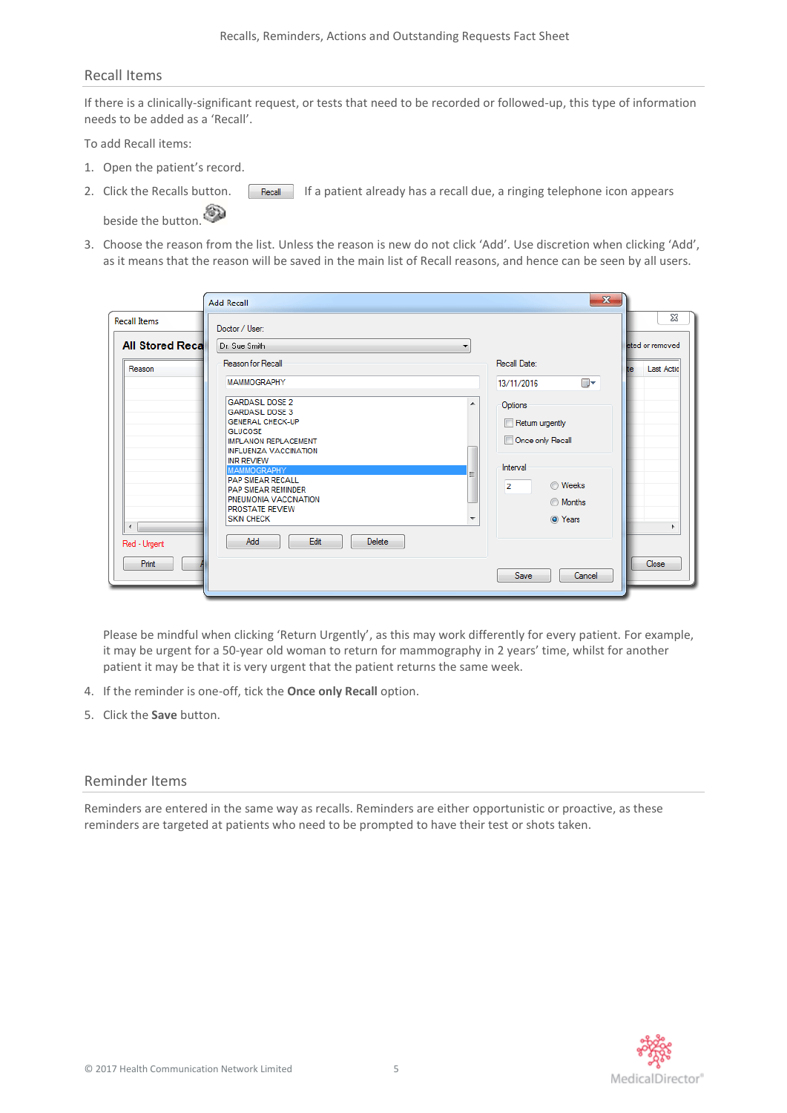#### <span id="page-4-0"></span>Recall Items

If there is a clinically-significant request, or tests that need to be recorded or followed-up, this type of information needs to be added as a 'Recall'.

To add Recall items:

- 1. Open the patient's record.
- 2. Click the Recalls button. **If a** patient already has a recall due, a ringing telephone icon appears beside the button.
- 3. Choose the reason from the list. Unless the reason is new do not click 'Add'. Use discretion when clicking 'Add', as it means that the reason will be saved in the main list of Recall reasons, and hence can be seen by all users.

| <b>Recall Items</b>    | Doctor / User:                                                                                                                                                                                                                                                                                                                   |                                                                                                               | 23                                             |
|------------------------|----------------------------------------------------------------------------------------------------------------------------------------------------------------------------------------------------------------------------------------------------------------------------------------------------------------------------------|---------------------------------------------------------------------------------------------------------------|------------------------------------------------|
| <b>All Stored Reca</b> | Dr. Sue Smith<br>Reason for Recall                                                                                                                                                                                                                                                                                               | ▼<br>Recall Date:                                                                                             | eted or removed                                |
| Reason                 |                                                                                                                                                                                                                                                                                                                                  |                                                                                                               | <b>Last Actio</b>                              |
|                        | <b>MAMMOGRAPHY</b>                                                                                                                                                                                                                                                                                                               | 13/11/2016                                                                                                    | ▦▾                                             |
| $\overline{ }$         | <b>GARDASIL DOSE 2</b><br><b>GARDASIL DOSE 3</b><br><b>GENERAL CHECK-UP</b><br><b>GLUCOSE</b><br><b>IMPLANON REPLACEMENT</b><br><b>INFLUENZA VACCINATION</b><br><b>INR REVIEW</b><br><b>MAMMOGRAPHY</b><br><b>PAP SMEAR RECALL</b><br><b>PAP SMEAR REMINDER</b><br>PNEUMONIA VACCINATION<br>PROSTATE REVIEW<br><b>SKIN CHECK</b> | ዹ<br>Options<br>Return urgently<br>Once only Recall<br>Interval<br>$\overline{2}$<br>$\overline{\phantom{a}}$ | <b>Weeks</b><br><b>Months</b><br>O Years<br>ь. |
| Red - Urgent<br>Print  | Add<br>Edit<br><b>Delete</b>                                                                                                                                                                                                                                                                                                     | Save                                                                                                          | Close<br>Cancel                                |

Please be mindful when clicking 'Return Urgently', as this may work differently for every patient. For example, it may be urgent for a 50-year old woman to return for mammography in 2 years' time, whilst for another patient it may be that it is very urgent that the patient returns the same week.

- 4. If the reminder is one-off, tick the **Once only Recall** option.
- 5. Click the **Save** button.

## <span id="page-4-1"></span>Reminder Items

Reminders are entered in the same way as recalls. Reminders are either opportunistic or proactive, as these reminders are targeted at patients who need to be prompted to have their test or shots taken.

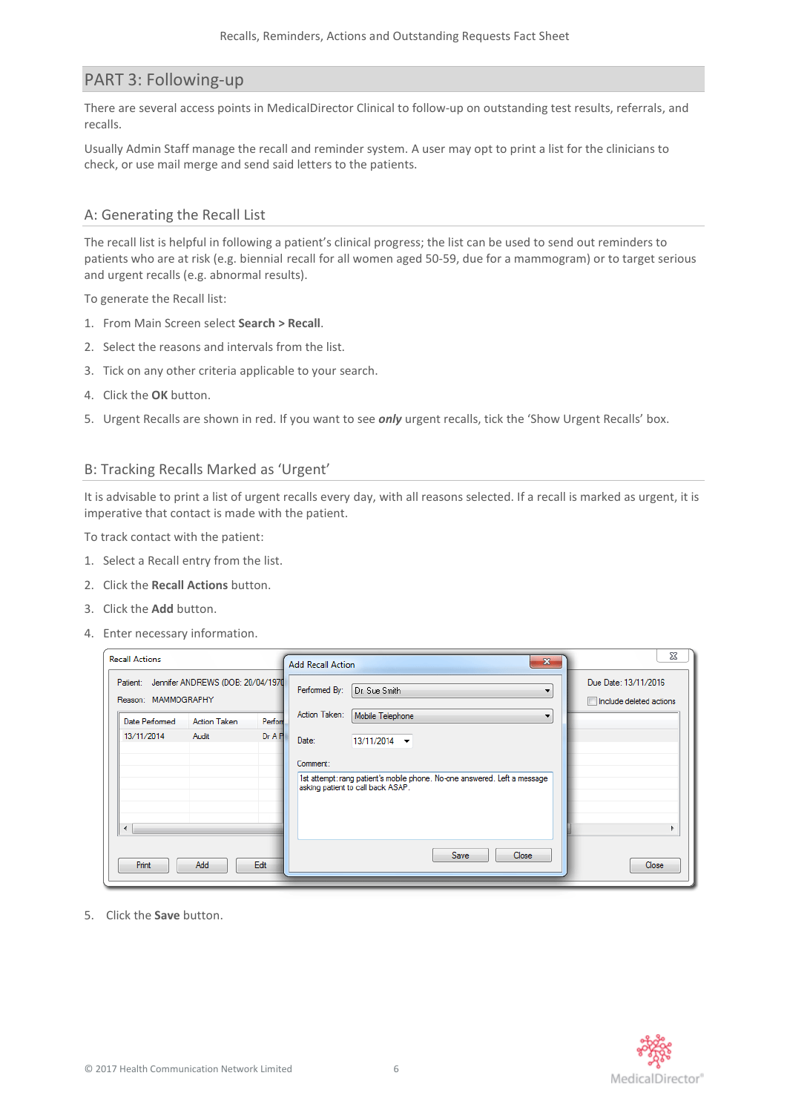## <span id="page-5-0"></span>PART 3: Following-up

There are several access points in MedicalDirector Clinical to follow-up on outstanding test results, referrals, and recalls.

Usually Admin Staff manage the recall and reminder system. A user may opt to print a list for the clinicians to check, or use mail merge and send said letters to the patients.

## <span id="page-5-1"></span>A: Generating the Recall List

The recall list is helpful in following a patient's clinical progress; the list can be used to send out reminders to patients who are at risk (e.g. biennial recall for all women aged 50-59, due for a mammogram) or to target serious and urgent recalls (e.g. abnormal results).

To generate the Recall list:

- 1. From Main Screen select **Search > Recall**.
- 2. Select the reasons and intervals from the list.
- 3. Tick on any other criteria applicable to your search.
- 4. Click the **OK** button.
- 5. Urgent Recalls are shown in red. If you want to see *only* urgent recalls, tick the 'Show Urgent Recalls' box.

### <span id="page-5-2"></span>B: Tracking Recalls Marked as 'Urgent'

It is advisable to print a list of urgent recalls every day, with all reasons selected. If a recall is marked as urgent, it is imperative that contact is made with the patient.

To track contact with the patient:

- 1. Select a Recall entry from the list.
- 2. Click the **Recall Actions** button.
- 3. Click the **Add** button.
- 4. Enter necessary information.

| <b>Recall Actions</b>                                             | $\mathbf{x}$<br><b>Add Recall Action</b>                                                                                                                          | X                                               |
|-------------------------------------------------------------------|-------------------------------------------------------------------------------------------------------------------------------------------------------------------|-------------------------------------------------|
| Patient: Jennifer ANDREWS (DOB: 20/04/1970<br>Reason: MAMMOGRAPHY | Performed By:<br>Dr. Sue Smith<br>▼                                                                                                                               | Due Date: 13/11/2016<br>Include deleted actions |
| Perfort<br>Date Performed<br><b>Action Taken</b>                  | Action Taken:<br>Mobile Telephone<br>▼                                                                                                                            |                                                 |
| 13/11/2014<br>DrAP<br>Audit<br>$\overline{4}$                     | Date:<br>$13/11/2014$ $\rightarrow$<br>Comment:<br>1st attempt: rang patient's mobile phone. No-one answered. Left a message<br>asking patient to call back ASAP. |                                                 |
| Edit<br>Print<br>Add                                              | <b>Save</b><br>Close                                                                                                                                              | Close                                           |

5. Click the **Save** button.

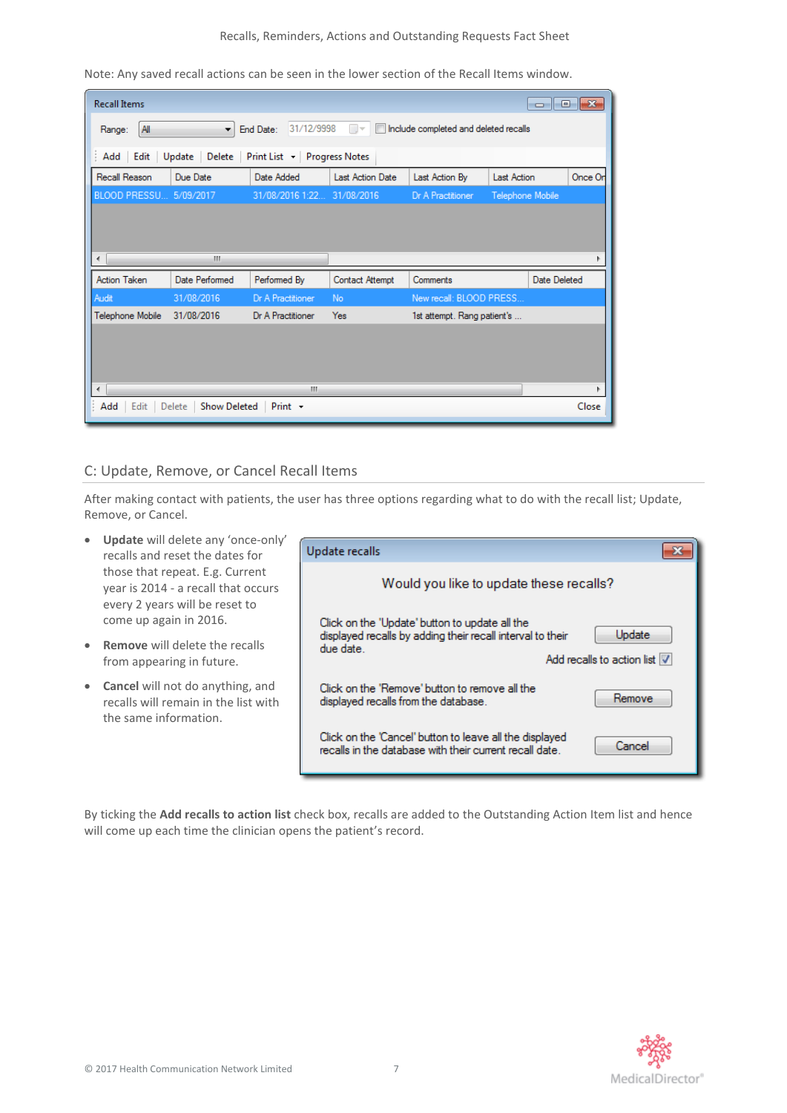#### Recalls, Reminders, Actions and Outstanding Requests Fact Sheet

Note: Any saved recall actions can be seen in the lower section of the Recall Items window.

| <b>Recall Items</b>                                            |                               |                            |                         |                                       |                    | $\overline{\phantom{a}}$ $\overline{\phantom{a}}$ $\overline{\phantom{a}}$ $\overline{\phantom{a}}$ $\overline{\phantom{a}}$ $\overline{\phantom{a}}$ $\overline{\phantom{a}}$ $\overline{\phantom{a}}$ $\overline{\phantom{a}}$ $\overline{\phantom{a}}$ $\overline{\phantom{a}}$ $\overline{\phantom{a}}$ $\overline{\phantom{a}}$ $\overline{\phantom{a}}$ $\overline{\phantom{a}}$ $\overline{\phantom{a}}$ $\overline{\phantom{a}}$ $\overline{\phantom{a}}$ $\overline{\$ |
|----------------------------------------------------------------|-------------------------------|----------------------------|-------------------------|---------------------------------------|--------------------|---------------------------------------------------------------------------------------------------------------------------------------------------------------------------------------------------------------------------------------------------------------------------------------------------------------------------------------------------------------------------------------------------------------------------------------------------------------------------------|
| All<br>Range:                                                  | ۰                             | 31/12/9998<br>End Date:    | ⊞∽                      | Include completed and deleted recalls |                    |                                                                                                                                                                                                                                                                                                                                                                                                                                                                                 |
| Edit<br>Update<br>Delete<br>Print List - Progress Notes<br>Add |                               |                            |                         |                                       |                    |                                                                                                                                                                                                                                                                                                                                                                                                                                                                                 |
| Recall Reason                                                  | Due Date                      | Date Added                 | <b>Last Action Date</b> | Last Action By                        | <b>Last Action</b> | Once Or                                                                                                                                                                                                                                                                                                                                                                                                                                                                         |
| BLOOD PRESSU 5/09/2017                                         |                               | 31/08/2016 1:22 31/08/2016 |                         | Dr A Practitioner                     | Telephone Mobile   |                                                                                                                                                                                                                                                                                                                                                                                                                                                                                 |
| ∢                                                              | Ш                             |                            |                         |                                       |                    |                                                                                                                                                                                                                                                                                                                                                                                                                                                                                 |
| <b>Action Taken</b>                                            | Date Performed                | Performed By               | <b>Contact Attempt</b>  | Comments                              |                    | Date Deleted                                                                                                                                                                                                                                                                                                                                                                                                                                                                    |
| Audit                                                          | 31/08/2016                    | Dr A Practitioner          | No                      | New recall: BLOOD PRESS               |                    |                                                                                                                                                                                                                                                                                                                                                                                                                                                                                 |
| Telephone Mobile                                               | 31/08/2016                    | Dr A Practitioner          | <b>Yes</b>              | 1st attempt. Rang patient's           |                    |                                                                                                                                                                                                                                                                                                                                                                                                                                                                                 |
| ∢                                                              |                               | m.                         |                         |                                       |                    |                                                                                                                                                                                                                                                                                                                                                                                                                                                                                 |
| Edit<br>Add                                                    | <b>Show Deleted</b><br>Delete | $Print -$                  |                         |                                       |                    | Close                                                                                                                                                                                                                                                                                                                                                                                                                                                                           |

## <span id="page-6-0"></span>C: Update, Remove, or Cancel Recall Items

After making contact with patients, the user has three options regarding what to do with the recall list; Update, Remove, or Cancel.

- **Update** will delete any 'once-only' recalls and reset the dates for those that repeat. E.g. Current year is 2014 - a recall that occurs every 2 years will be reset to come up again in 2016.
- **Remove** will delete the recalls from appearing in future.
- **Cancel** will not do anything, and recalls will remain in the list with the same information.

| Update recalls                                                                                                            |                                        |
|---------------------------------------------------------------------------------------------------------------------------|----------------------------------------|
| Would you like to update these recalls?                                                                                   |                                        |
| Click on the 'Update' button to update all the<br>displayed recalls by adding their recall interval to their<br>due date. | Update<br>Add recalls to action list V |
| Click on the 'Remove' button to remove all the<br>displayed recalls from the database.                                    | Remove                                 |
| Click on the 'Cancel' button to leave all the displayed<br>recalls in the database with their current recall date.        | Cancel                                 |

By ticking the **Add recalls to action list** check box, recalls are added to the Outstanding Action Item list and hence will come up each time the clinician opens the patient's record.

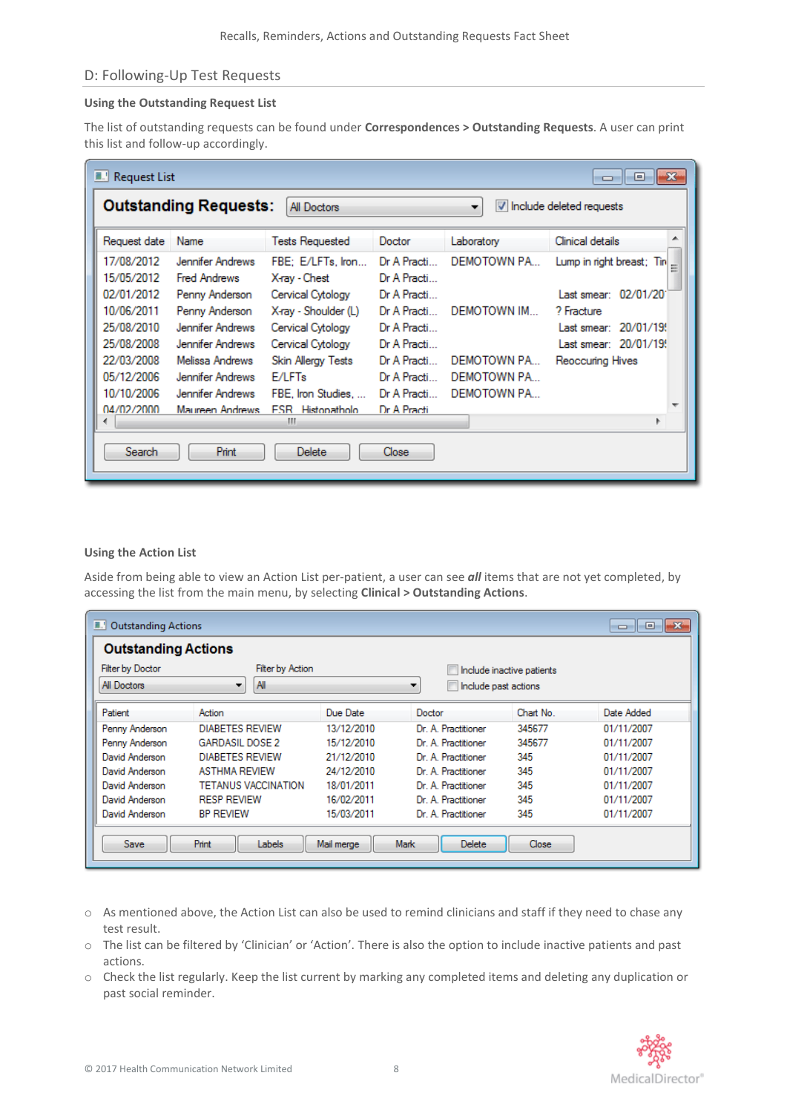## <span id="page-7-0"></span>D: Following-Up Test Requests

#### **Using the Outstanding Request List**

The list of outstanding requests can be found under **Correspondences > Outstanding Requests**. A user can print this list and follow-up accordingly.

| <b>ALL</b> Request List                                                        |                                                           |                                                               |                                           |                            | -23<br>▣                                           |
|--------------------------------------------------------------------------------|-----------------------------------------------------------|---------------------------------------------------------------|-------------------------------------------|----------------------------|----------------------------------------------------|
| <b>Outstanding Requests:</b><br>All Doctors<br>V Include deleted requests<br>۰ |                                                           |                                                               |                                           |                            |                                                    |
| Request date                                                                   | Name                                                      | <b>Tests Requested</b>                                        | Doctor                                    | Laboratory                 | ∸<br>Clinical details                              |
| 17/08/2012<br>15/05/2012<br>02/01/2012                                         | Jennifer Andrews<br><b>Fred Andrews</b><br>Penny Anderson | FBE: E/LFTs. Iron<br>X-ray - Chest<br>Cervical Cytology       | Dr A Practi<br>Dr A Practi<br>Dr A Practi | DEMOTOWN PA                | Lump in right breast; Tin<br>Last smear: 02/01/201 |
| 10/06/2011<br>25/08/2010                                                       | Penny Anderson<br>Jennifer Andrews                        | X-ray - Shoulder (L)<br>Cervical Cytology                     | Dr A Practi<br>Dr A Practi                | DEMOTOWN IM                | ? Fracture<br>Last smear: 20/01/19!                |
| 25/08/2008<br>22/03/2008<br>05/12/2006                                         | Jennifer Andrews<br>Melissa Andrews<br>Jennifer Andrews   | Cervical Cytology<br>Skin Allergy Tests<br>E/LFT <sub>s</sub> | Dr A Practi<br>Dr A Practi<br>Dr A Practi | DEMOTOWN PA<br>DEMOTOWN PA | Last smear: 20/01/19!<br>Reoccuring Hives          |
| 10/10/2006<br>04/02/2000                                                       | Jennifer Andrews<br>Maureen Andrews                       | FBE, Iron Studies,<br><b>ESR</b> Histopatholo<br>ш            | Dr A Practi<br>Dr A Practi                | DEMOTOWN PA                |                                                    |
| Search                                                                         | <b>Print</b>                                              | <b>Delete</b>                                                 | Close                                     |                            |                                                    |

#### **Using the Action List**

Aside from being able to view an Action List per-patient, a user can see *all* items that are not yet completed, by accessing the list from the main menu, by selecting **Clinical > Outstanding Actions**.

| <b>ALL</b> Outstanding Actions |                            |            |                           |                           | $\mathbb{R}$<br>o lo |  |  |  |
|--------------------------------|----------------------------|------------|---------------------------|---------------------------|----------------------|--|--|--|
| <b>Outstanding Actions</b>     |                            |            |                           |                           |                      |  |  |  |
| <b>Filter by Doctor</b>        | <b>Filter by Action</b>    |            |                           | Include inactive patients |                      |  |  |  |
| All Doctors                    | All<br>▼                   |            | Include past actions<br>▼ |                           |                      |  |  |  |
| Patient                        | Action                     | Due Date   | Doctor                    | Chart No.                 | Date Added           |  |  |  |
| Penny Anderson                 | <b>DIABETES REVIEW</b>     | 13/12/2010 | Dr. A. Practitioner       | 345677                    | 01/11/2007           |  |  |  |
| Penny Anderson                 | <b>GARDASIL DOSE 2</b>     | 15/12/2010 | Dr. A. Practitioner       | 345677                    | 01/11/2007           |  |  |  |
| David Anderson                 | <b>DIABETES REVIEW</b>     | 21/12/2010 | Dr. A. Practitioner       | 345                       | 01/11/2007           |  |  |  |
| David Anderson                 | <b>ASTHMA REVIEW</b>       | 24/12/2010 | Dr. A. Practitioner       | 345                       | 01/11/2007           |  |  |  |
| David Anderson                 | <b>TETANUS VACCINATION</b> | 18/01/2011 | Dr. A. Practitioner       | 345                       | 01/11/2007           |  |  |  |
| David Anderson                 | <b>RESP REVIEW</b>         | 16/02/2011 | Dr. A. Practitioner       | 345                       | 01/11/2007           |  |  |  |
| David Anderson                 | <b>BP REVIEW</b>           | 15/03/2011 | Dr. A. Practitioner       | 345                       | 01/11/2007           |  |  |  |
| Save                           | Print<br>Labels            | Mail merge | <b>Delete</b><br>Mark     | Close                     |                      |  |  |  |

- o As mentioned above, the Action List can also be used to remind clinicians and staff if they need to chase any test result.
- o The list can be filtered by 'Clinician' or 'Action'. There is also the option to include inactive patients and past actions.
- o Check the list regularly. Keep the list current by marking any completed items and deleting any duplication or past social reminder.

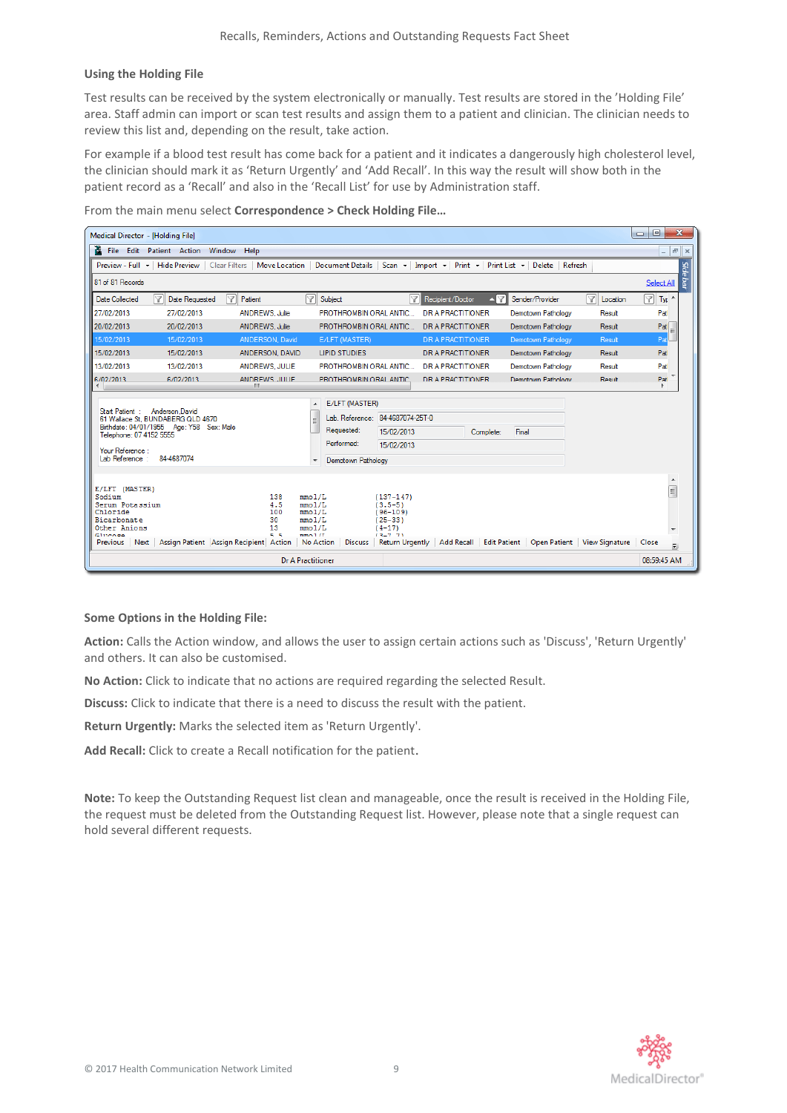#### **Using the Holding File**

Test results can be received by the system electronically or manually. Test results are stored in the 'Holding File' area. Staff admin can import or scan test results and assign them to a patient and clinician. The clinician needs to review this list and, depending on the result, take action.

For example if a blood test result has come back for a patient and it indicates a dangerously high cholesterol level, the clinician should mark it as 'Return Urgently' and 'Add Recall'. In this way the result will show both in the patient record as a 'Recall' and also in the 'Recall List' for use by Administration staff.

From the main menu select **Correspondence > Check Holding File…**



#### **Some Options in the Holding File:**

**Action:** Calls the Action window, and allows the user to assign certain actions such as 'Discuss', 'Return Urgently' and others. It can also be customised.

**No Action:** Click to indicate that no actions are required regarding the selected Result.

**Discuss:** Click to indicate that there is a need to discuss the result with the patient.

**Return Urgently:** Marks the selected item as 'Return Urgently'.

**Add Recall:** Click t[o create a Recall](file:///C:/Users/mariettab/Desktop/8661.htm) notification for the patient.

**Note:** To keep the Outstanding Request list clean and manageable, once the result is received in the Holding File, the request must be deleted from the Outstanding Request list. However, please note that a single request can hold several different requests.